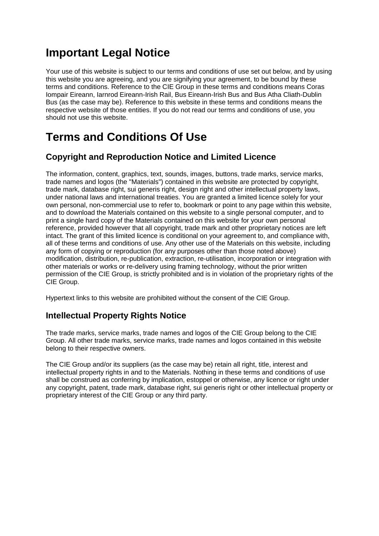# **Important Legal Notice**

Your use of this website is subject to our terms and conditions of use set out below, and by using this website you are agreeing, and you are signifying your agreement, to be bound by these terms and conditions. Reference to the CIE Group in these terms and conditions means Coras Iompair Eireann, Iarnrod Eireann-Irish Rail, Bus Eireann-Irish Bus and Bus Atha Cliath-Dublin Bus (as the case may be). Reference to this website in these terms and conditions means the respective website of those entities. If you do not read our terms and conditions of use, you should not use this website.

# **Terms and Conditions Of Use**

### **Copyright and Reproduction Notice and Limited Licence**

The information, content, graphics, text, sounds, images, buttons, trade marks, service marks, trade names and logos (the "Materials") contained in this website are protected by copyright, trade mark, database right, sui generis right, design right and other intellectual property laws, under national laws and international treaties. You are granted a limited licence solely for your own personal, non-commercial use to refer to, bookmark or point to any page within this website, and to download the Materials contained on this website to a single personal computer, and to print a single hard copy of the Materials contained on this website for your own personal reference, provided however that all copyright, trade mark and other proprietary notices are left intact. The grant of this limited licence is conditional on your agreement to, and compliance with, all of these terms and conditions of use. Any other use of the Materials on this website, including any form of copying or reproduction (for any purposes other than those noted above) modification, distribution, re-publication, extraction, re-utilisation, incorporation or integration with other materials or works or re-delivery using framing technology, without the prior written permission of the CIE Group, is strictly prohibited and is in violation of the proprietary rights of the CIE Group.

Hypertext links to this website are prohibited without the consent of the CIE Group.

## **Intellectual Property Rights Notice**

The trade marks, service marks, trade names and logos of the CIE Group belong to the CIE Group. All other trade marks, service marks, trade names and logos contained in this website belong to their respective owners.

The CIE Group and/or its suppliers (as the case may be) retain all right, title, interest and intellectual property rights in and to the Materials. Nothing in these terms and conditions of use shall be construed as conferring by implication, estoppel or otherwise, any licence or right under any copyright, patent, trade mark, database right, sui generis right or other intellectual property or proprietary interest of the CIE Group or any third party.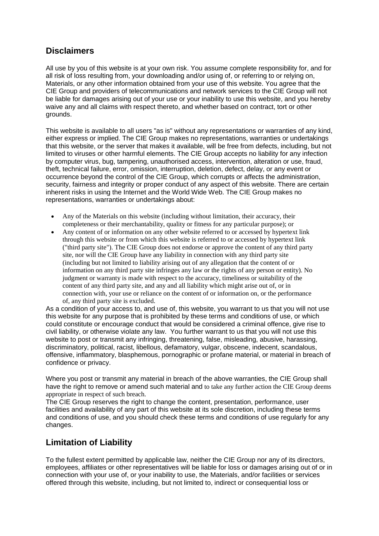#### **Disclaimers**

All use by you of this website is at your own risk. You assume complete responsibility for, and for all risk of loss resulting from, your downloading and/or using of, or referring to or relying on, Materials, or any other information obtained from your use of this website. You agree that the CIE Group and providers of telecommunications and network services to the CIE Group will not be liable for damages arising out of your use or your inability to use this website, and you hereby waive any and all claims with respect thereto, and whether based on contract, tort or other grounds.

This website is available to all users "as is" without any representations or warranties of any kind, either express or implied. The CIE Group makes no representations, warranties or undertakings that this website, or the server that makes it available, will be free from defects, including, but not limited to viruses or other harmful elements. The CIE Group accepts no liability for any infection by computer virus, bug, tampering, unauthorised access, intervention, alteration or use, fraud, theft, technical failure, error, omission, interruption, deletion, defect, delay, or any event or occurrence beyond the control of the CIE Group, which corrupts or affects the administration, security, fairness and integrity or proper conduct of any aspect of this website. There are certain inherent risks in using the Internet and the World Wide Web. The CIE Group makes no representations, warranties or undertakings about:

- Any of the Materials on this website (including without limitation, their accuracy, their completeness or their merchantability, quality or fitness for any particular purpose); or
- Any content of or information on any other website referred to or accessed by hypertext link through this website or from which this website is referred to or accessed by hypertext link ("third party site"). The CIE Group does not endorse or approve the content of any third party site, nor will the CIE Group have any liability in connection with any third party site (including but not limited to liability arising out of any allegation that the content of or information on any third party site infringes any law or the rights of any person or entity). No judgment or warranty is made with respect to the accuracy, timeliness or suitability of the content of any third party site, and any and all liability which might arise out of, or in connection with, your use or reliance on the content of or information on, or the performance of, any third party site is excluded.

As a condition of your access to, and use of, this website, you warrant to us that you will not use this website for any purpose that is prohibited by these terms and conditions of use, or which could constitute or encourage conduct that would be considered a criminal offence, give rise to civil liability, or otherwise violate any law. You further warrant to us that you will not use this website to post or transmit any infringing, threatening, false, misleading, abusive, harassing, discriminatory, political, racist, libellous, defamatory, vulgar, obscene, indecent, scandalous, offensive, inflammatory, blasphemous, pornographic or profane material, or material in breach of confidence or privacy.

Where you post or transmit any material in breach of the above warranties, the CIE Group shall have the right to remove or amend such material and to take any further action the CIE Group deems appropriate in respect of such breach.

The CIE Group reserves the right to change the content, presentation, performance, user facilities and availability of any part of this website at its sole discretion, including these terms and conditions of use, and you should check these terms and conditions of use regularly for any changes.

#### **Limitation of Liability**

To the fullest extent permitted by applicable law, neither the CIE Group nor any of its directors, employees, affiliates or other representatives will be liable for loss or damages arising out of or in connection with your use of, or your inability to use, the Materials, and/or facilities or services offered through this website, including, but not limited to, indirect or consequential loss or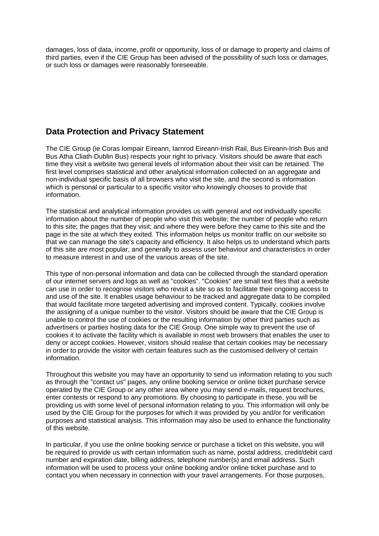damages, loss of data, income, profit or opportunity, loss of or damage to property and claims of third parties, even if the CIE Group has been advised of the possibility of such loss or damages, or such loss or damages were reasonably foreseeable.

#### **Data Protection and Privacy Statement**

The CIE Group (ie Coras Iompair Eireann, Iarnrod Eireann-Irish Rail, Bus Eireann-Irish Bus and Bus Atha Cliath-Dublin Bus) respects your right to privacy. Visitors should be aware that each time they visit a website two general levels of information about their visit can be retained. The first level comprises statistical and other analytical information collected on an aggregate and non-individual specific basis of all browsers who visit the site, and the second is information which is personal or particular to a specific visitor who knowingly chooses to provide that information.

The statistical and analytical information provides us with general and not individually specific information about the number of people who visit this website; the number of people who return to this site; the pages that they visit; and where they were before they came to this site and the page in the site at which they exited. This information helps us monitor traffic on our website so that we can manage the site's capacity and efficiency. It also helps us to understand which parts of this site are most popular, and generally to assess user behaviour and characteristics in order to measure interest in and use of the various areas of the site.

This type of non-personal information and data can be collected through the standard operation of our internet servers and logs as well as "cookies". "Cookies" are small text files that a website can use in order to recognise visitors who revisit a site so as to facilitate their ongoing access to and use of the site. It enables usage behaviour to be tracked and aggregate data to be compiled that would facilitate more targeted advertising and improved content. Typically, cookies involve the assigning of a unique number to the visitor. Visitors should be aware that the CIE Group is unable to control the use of cookies or the resulting information by other third parties such as advertisers or parties hosting data for the CIE Group. One simple way to prevent the use of cookies it to activate the facility which is available in most web browsers that enables the user to deny or accept cookies. However, visitors should realise that certain cookies may be necessary in order to provide the visitor with certain features such as the customised delivery of certain information.

Throughout this website you may have an opportunity to send us information relating to you such as through the "contact us" pages, any online booking service or online ticket purchase service operated by the CIE Group or any other area where you may send e-mails, request brochures, enter contests or respond to any promotions. By choosing to participate in these, you will be providing us with some level of personal information relating to you. This information will only be used by the CIE Group for the purposes for which it was provided by you and/or for verification purposes and statistical analysis. This information may also be used to enhance the functionality of this website.

In particular, if you use the online booking service or purchase a ticket on this website, you will be required to provide us with certain information such as name, postal address, credit/debit card number and expiration date, billing address, telephone number(s) and email address. Such information will be used to process your online booking and/or online ticket purchase and to contact you when necessary in connection with your travel arrangements. For those purposes,